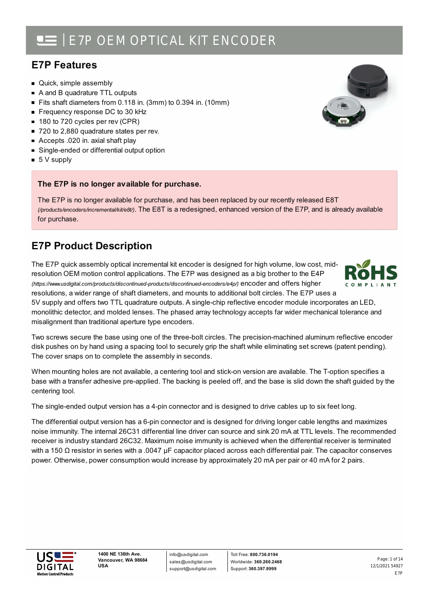### **E7P Features**

- Quick, simple assembly
- A and B quadrature TTL outputs
- Fits shaft diameters from 0.118 in. (3mm) to 0.394 in. (10mm)
- Frequency response DC to 30 kHz
- 180 to 720 cycles per rev (CPR)
- 720 to 2,880 quadrature states per rev.
- Accepts .020 in. axial shaft play
- Single-ended or differential output option
- $\blacksquare$  5 V supply

### **The E7P is no longer available for purchase.**

The E7P is no longer available for purchase, and has been replaced by our recently released E8T *(/products/encoders/incremental/kit/e8t/)*. The E8T is a redesigned, enhanced version of the E7P, and is already available for purchase.

### **E7P Product Description**

The E7P quick assembly optical incremental kit encoder is designed for high volume, low cost, midresolution OEM motion control applications. The E7P was designed as a big brother to the E4P *(https://www.usdigital.com/products/discontinued-products/discontinued-encoders/e4p/)* encoder and offers higher resolutions, a wider range of shaft diameters, and mounts to additional bolt circles. The E7P uses a

5V supply and offers two TTL quadrature outputs. A single-chip reflective encoder module incorporates an LED, monolithic detector, and molded lenses. The phased array technology accepts far wider mechanical tolerance and misalignment than traditional aperture type encoders.

Two screws secure the base using one of the three-bolt circles. The precision-machined aluminum reflective encoder disk pushes on by hand using a spacing tool to securely grip the shaft while eliminating set screws (patent pending). The cover snaps on to complete the assembly in seconds.

When mounting holes are not available, a centering tool and stick-on version are available. The T-option specifies a base with a transfer adhesive pre-applied. The backing is peeled off, and the base is slid down the shaft guided by the centering tool.

The single-ended output version has a 4-pin connector and is designed to drive cables up to six feet long.

The differential output version has a 6-pin connector and is designed for driving longer cable lengths and maximizes noise immunity. The internal 26C31 differential line driver can source and sink 20 mA at TTL levels. The recommended receiver is industry standard 26C32. Maximum noise immunity is achieved when the differential receiver is terminated with a 150 Ω resistor in series with a .0047 µF capacitor placed across each differential pair. The capacitor conserves power. Otherwise, power consumption would increase by approximately 20 mA per pair or 40 mA for 2 pairs.



info@usdigital.com sales@usdigital.com support@usdigital.com



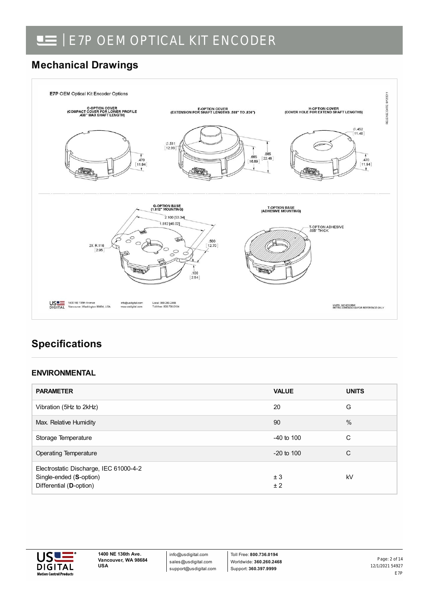### **Mechanical Drawings**



### **Specifications**

### **ENVIRONMENTAL**

| <b>PARAMETER</b>                                                                             | <b>VALUE</b> | <b>UNITS</b> |
|----------------------------------------------------------------------------------------------|--------------|--------------|
| Vibration (5Hz to 2kHz)                                                                      | 20           | G            |
| Max. Relative Humidity                                                                       | 90           | %            |
| Storage Temperature                                                                          | $-40$ to 100 | С            |
| <b>Operating Temperature</b>                                                                 | $-20$ to 100 | C            |
| Electrostatic Discharge, IEC 61000-4-2<br>Single-ended (S-option)<br>Differential (D-option) | ± 3<br>±2    | kV           |

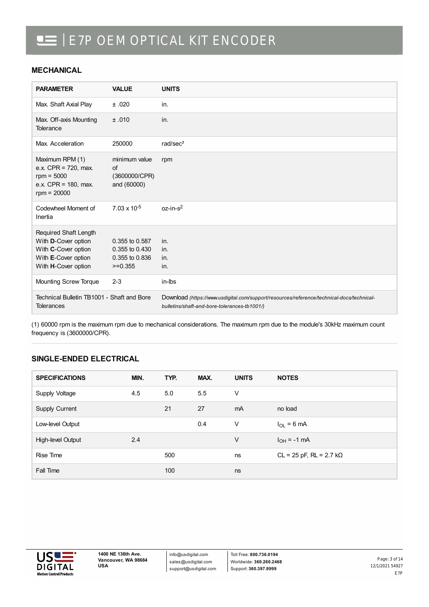#### **MECHANICAL**

| <b>PARAMETER</b>                                                                                                  | <b>VALUE</b>                                                    | <b>UNITS</b>                                                                                                                              |
|-------------------------------------------------------------------------------------------------------------------|-----------------------------------------------------------------|-------------------------------------------------------------------------------------------------------------------------------------------|
| Max. Shaft Axial Play                                                                                             | ±.020                                                           | in.                                                                                                                                       |
| Max. Off-axis Mounting<br>Tolerance                                                                               | ±.010                                                           | in.                                                                                                                                       |
| Max. Acceleration                                                                                                 | 250000                                                          | rad/sec <sup>2</sup>                                                                                                                      |
| Maximum RPM (1)<br>e.x. $CPR = 720$ , max.<br>$rpm = 5000$<br>e.x. $CPR = 180$ , max.<br>$rpm = 20000$            | minimum value<br>of<br>(3600000/CPR)<br>and (60000)             | rpm                                                                                                                                       |
| Codewheel Moment of<br>Inertia                                                                                    | $7.03 \times 10^{-5}$                                           | $oz-in-s2$                                                                                                                                |
| Required Shaft Length<br>With D-Cover option<br>With C-Cover option<br>With E-Cover option<br>With H-Cover option | 0.355 to 0.587<br>0.355 to 0.430<br>0.355 to 0.836<br>$>=0.355$ | in.<br>in.<br>in.<br>in.                                                                                                                  |
| Mounting Screw Torque                                                                                             | $2 - 3$                                                         | in-lbs                                                                                                                                    |
| Technical Bulletin TB1001 - Shaft and Bore<br>Tolerances                                                          |                                                                 | Download (https://www.usdigital.com/support/resources/reference/technical-docs/technical-<br>bulletins/shaft-and-bore-tolerances-tb1001/) |

(1) 60000 rpm is the maximum rpm due to mechanical considerations. The maximum rpm due to the module's 30kHz maximum count frequency is (3600000/CPR).

#### **SINGLE-ENDED ELECTRICAL**

| <b>SPECIFICATIONS</b> | MIN. | TYP. | MAX. | <b>UNITS</b>   | <b>NOTES</b>                        |
|-----------------------|------|------|------|----------------|-------------------------------------|
| Supply Voltage        | 4.5  | 5.0  | 5.5  | $\vee$         |                                     |
| Supply Current        |      | 21   | 27   | m <sub>A</sub> | no load                             |
| Low-level Output      |      |      | 0.4  | $\vee$         | $I_{OL}$ = 6 mA                     |
| High-level Output     | 2.4  |      |      | $\vee$         | $I_{OH} = -1$ mA                    |
| Rise Time             |      | 500  |      | ns             | $CL = 25$ pF, $RL = 2.7$ k $\Omega$ |
| Fall Time             |      | 100  |      | ns             |                                     |



info@usdigital.com sales@usdigital.com support@usdigital.com

Toll Free: **800.736.0194** Worldwide: **360.260.2468** Support: **360.397.9999**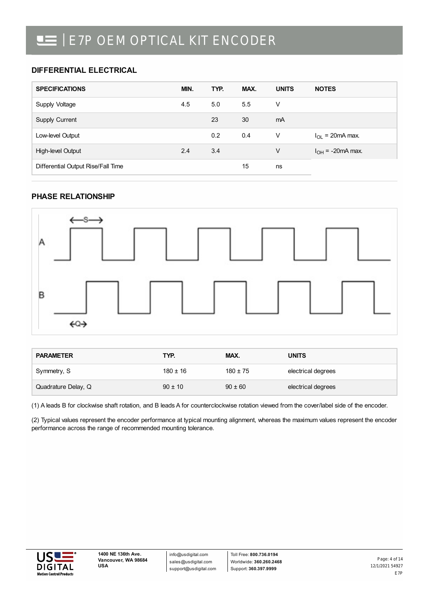### **DIFFERENTIAL ELECTRICAL**

| <b>SPECIFICATIONS</b>              | MIN. | TYP. | MAX. | <b>UNITS</b> | <b>NOTES</b>          |
|------------------------------------|------|------|------|--------------|-----------------------|
| Supply Voltage                     | 4.5  | 5.0  | 5.5  | V            |                       |
| <b>Supply Current</b>              |      | 23   | 30   | mA           |                       |
| Low-level Output                   |      | 0.2  | 0.4  | V            | $I_{OL}$ = 20mA max.  |
| High-level Output                  | 2.4  | 3.4  |      | ٧            | $I_{OH}$ = -20mA max. |
| Differential Output Rise/Fall Time |      |      | 15   | ns           |                       |

### **PHASE RELATIONSHIP**



| <b>PARAMETER</b>    | TYP.         | MAX.         | <b>UNITS</b>       |
|---------------------|--------------|--------------|--------------------|
| Symmetry, S         | $180 \pm 16$ | $180 \pm 75$ | electrical degrees |
| Quadrature Delay, Q | $90 \pm 10$  | $90 \pm 60$  | electrical degrees |

(1) A leads B for clockwise shaft rotation, and B leads A for counterclockwise rotation viewed from the cover/label side of the encoder.

(2) Typical values represent the encoder performance at typical mounting alignment, whereas the maximum values represent the encoder performance across the range of recommended mounting tolerance.



info@usdigital.com sales@usdigital.com support@usdigital.com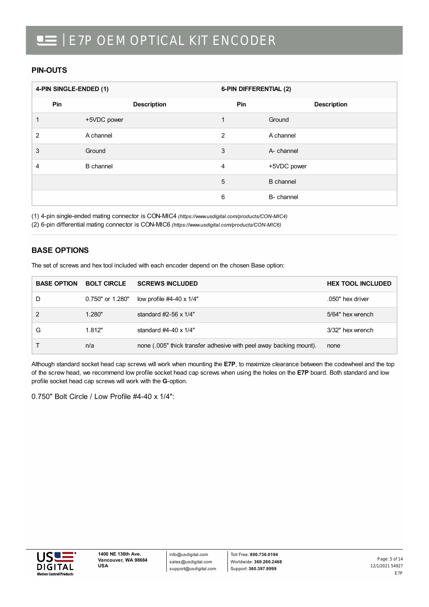#### **PIN-OUTS**

|                | 4-PIN SINGLE-ENDED (1) |                | 6-PIN DIFFERENTIAL (2) |  |  |
|----------------|------------------------|----------------|------------------------|--|--|
| Pin            | <b>Description</b>     | Pin            | <b>Description</b>     |  |  |
|                | +5VDC power            | 1              | Ground                 |  |  |
| $\overline{2}$ | A channel              | $\overline{2}$ | A channel              |  |  |
| 3              | Ground                 | 3              | A- channel             |  |  |
| 4              | <b>B</b> channel       | $\overline{4}$ | +5VDC power            |  |  |
|                |                        | 5              | <b>B</b> channel       |  |  |
|                |                        | 6              | B- channel             |  |  |

(1) 4-pin single-ended mating connector is CON-MIC4 *[\(https://www.usdigital.com/products/CON-MIC4\)](https://www.usdigital.com/products/CON-MIC4)*

(2) 6-pin differential mating connector is CON-MIC6 *[\(https://www.usdigital.com/products/CON-MIC6\)](https://www.usdigital.com/products/CON-MIC6)*

### **BASE OPTIONS**

| The set of screws and hex tool included with each encoder depend on the chosen Base option: |
|---------------------------------------------------------------------------------------------|
|                                                                                             |

| <b>BASE OPTION</b> | <b>BOLT CIRCLE</b> | <b>SCREWS INCLUDED</b>                                             | <b>HEX TOOL INCLUDED</b> |
|--------------------|--------------------|--------------------------------------------------------------------|--------------------------|
| D                  | 0.750" or 1.280"   | low profile $#4-40 \times 1/4"$                                    | .050" hex driver         |
|                    | 1.280"             | standard $#2-56 \times 1/4"$                                       | 5/64" hex wrench         |
| G                  | 1.812"             | standard $#4-40 \times 1/4"$                                       | 3/32" hex wrench         |
|                    | n/a                | none (.005" thick transfer adhesive with peel away backing mount). | none                     |

Although standard socket head cap screws will work when mounting the **E7P**, to maximize clearance between the codewheel and the top of the screw head, we recommend low profile socket head cap screws when using the holes on the **E7P** board. Both standard and low profile socket head cap screws will work with the **G**-option.

0.750" Bolt Circle / Low Profile #4-40 x 1/4":

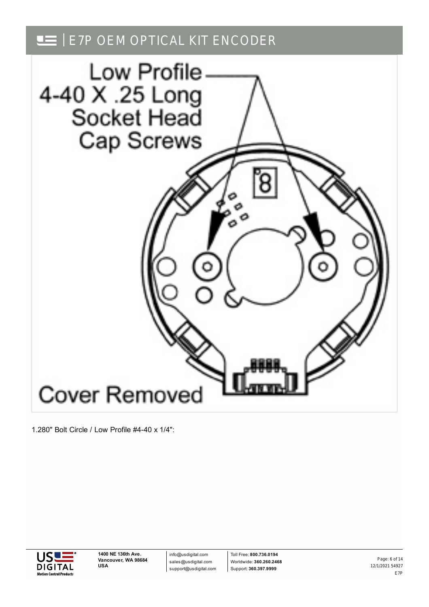

1.280" Bolt Circle / Low Profile #4-40 x 1/4":



info@usdigital.com sales@usdigital.com support@usdigital.com

Toll Free: **800.736.0194** Worldwide: **360.260.2468** Support: **360.397.9999**

12/1/2021 54927 E7P Page: 6 of 14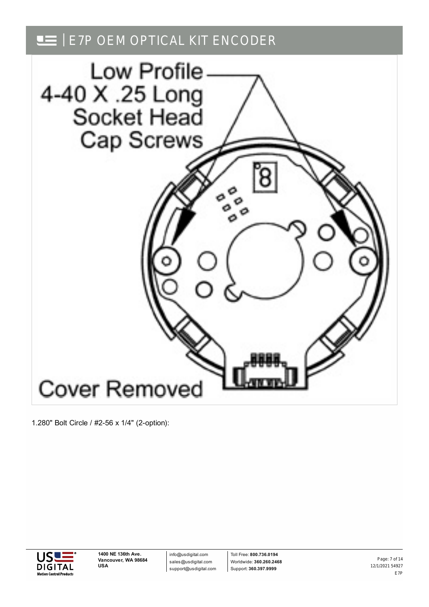

1.280" Bolt Circle / #2-56 x 1/4" (2-option):



info@usdigital.com sales@usdigital.com support@usdigital.com

Toll Free: **800.736.0194** Worldwide: **360.260.2468** Support: **360.397.9999**

12/1/2021 54927 E7P Page: 7 of 14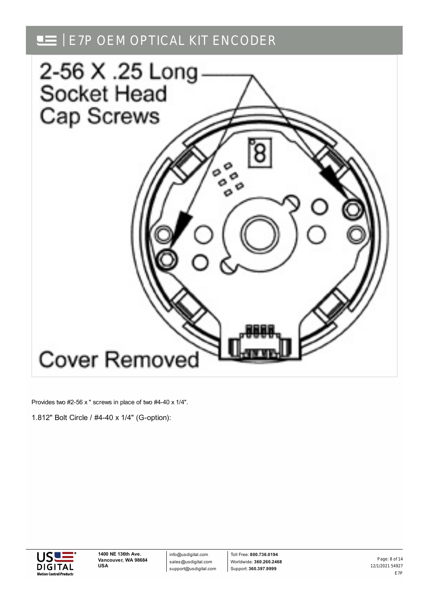

Provides two #2-56 x " screws in place of two #4-40 x 1/4".

1.812" Bolt Circle / #4-40 x 1/4" (G-option):



info@usdigital.com sales@usdigital.com support@usdigital.com

Toll Free: **800.736.0194** Worldwide: **360.260.2468** Support: **360.397.9999**

12/1/2021 54927 E7P Page: 8 of 14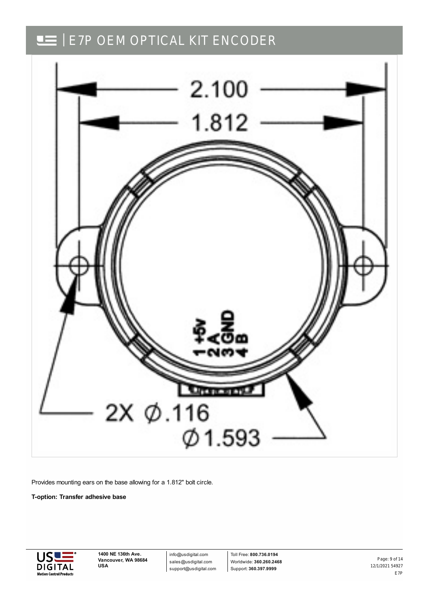

Provides mounting ears on the base allowing for a 1.812" bolt circle.

**T-option: Transfer adhesive base**



**1400 NE 136th Ave. Vancouver, WA 98684 USA**

info@usdigital.com sales@usdigital.com support@usdigital.com

Toll Free: **800.736.0194** Worldwide: **360.260.2468** Support: **360.397.9999**

12/1/2021 54927 E7P Page: 9 of 14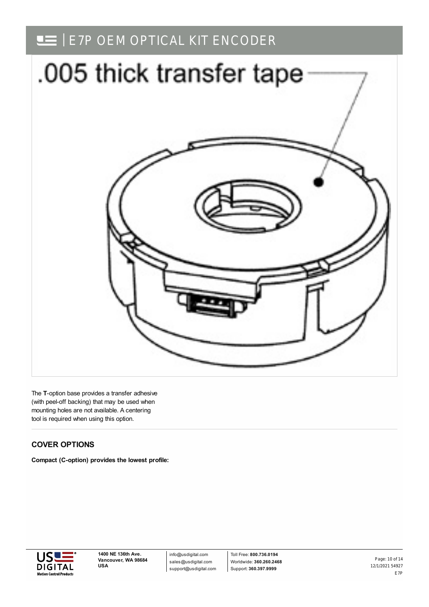

The **T**-option base provides a transfer adhesive (with peel-off backing) that may be used when mounting holes are not available. A centering tool is required when using this option.

### **COVER OPTIONS**

**Compact (C-option) provides the lowest profile:**



info@usdigital.com sales@usdigital.com support@usdigital.com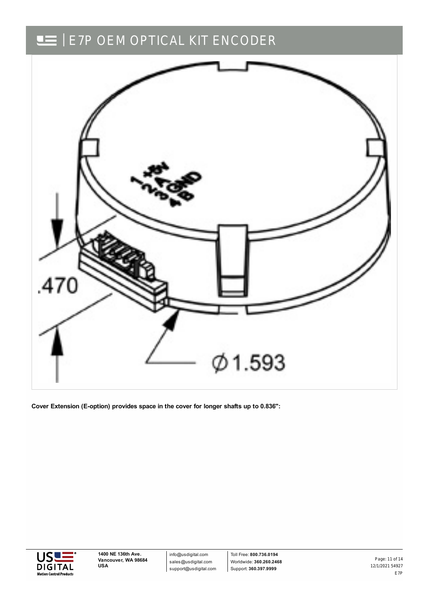

**Cover Extension (E-option) provides space in the cover for longer shafts up to 0.836":**



info@usdigital.com sales@usdigital.com support@usdigital.com

Toll Free: **800.736.0194** Worldwide: **360.260.2468** Support: **360.397.9999**

12/1/2021 54927 E7P Page: 11 of 14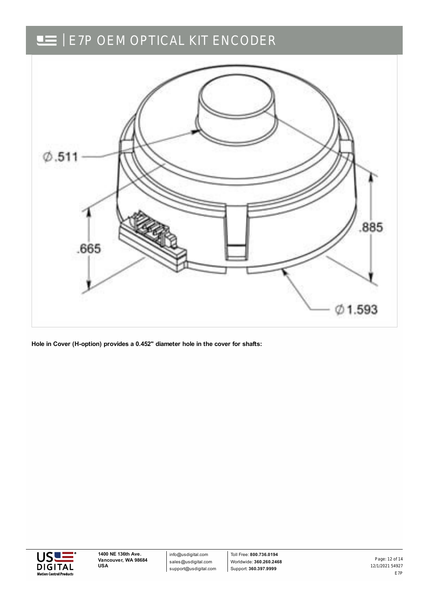

**Hole in Cover (H-option) provides a 0.452" diameter hole in the cover for shafts:**



info@usdigital.com sales@usdigital.com support@usdigital.com

Toll Free: **800.736.0194** Worldwide: **360.260.2468** Support: **360.397.9999**

12/1/2021 54927 E7P Page: 12 of 14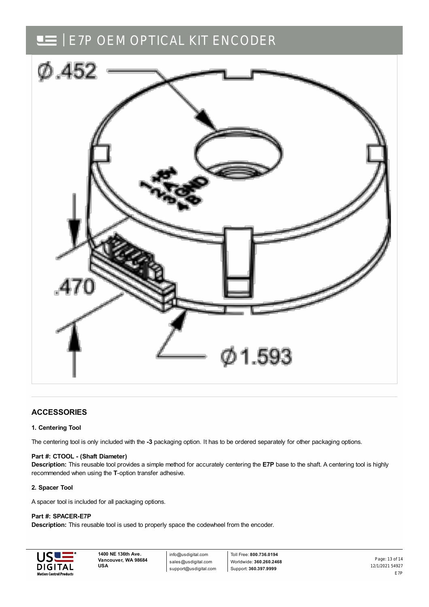

#### **ACCESSORIES**

#### **1. Centering Tool**

The centering tool is only included with the **-3** packaging option. It has to be ordered separately for other packaging options.

#### **Part #: CTOOL - (Shaft Diameter)**

**Description:** This reusable tool provides a simple method for accurately centering the **E7P** base to the shaft. A centering tool is highly recommended when using the **T**-option transfer adhesive.

#### **2. Spacer Tool**

A spacer tool is included for all packaging options.

#### **Part #: SPACER-E7P**

**Description:** This reusable tool is used to properly space the codewheel from the encoder.



**1400 NE 136th Ave. Vancouver, WA 98684 USA**

info@usdigital.com sales@usdigital.com support@usdigital.com

Toll Free: **800.736.0194** Worldwide: **360.260.2468** Support: **360.397.9999**

12/1/2021 54927 E7P Page: 13 of 14